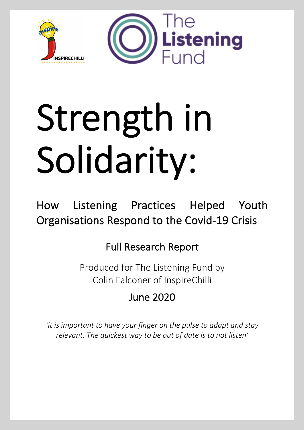

# Strength in Solidarity:

How Listening Practices Helped Youth Organisations Respond to the Covid-19 Crisis

# Full Research Report

Produced for The Listening Fund by Colin Falconer of InspireChilli

June 2020

*'it is important to have your finger on the pulse to adapt and stay relevant. The quickest way to be out of date is to not listen'*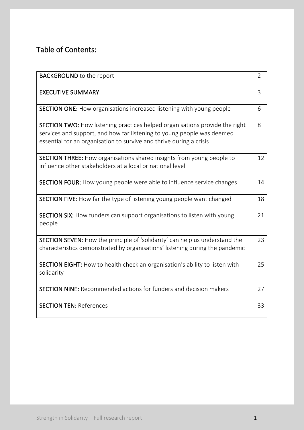# Table of Contents:

| <b>BACKGROUND</b> to the report                                                                                                                                                                                                     | $\overline{2}$ |
|-------------------------------------------------------------------------------------------------------------------------------------------------------------------------------------------------------------------------------------|----------------|
| <b>EXECUTIVE SUMMARY</b>                                                                                                                                                                                                            | 3              |
| <b>SECTION ONE:</b> How organisations increased listening with young people                                                                                                                                                         | 6              |
| <b>SECTION TWO:</b> How listening practices helped organisations provide the right<br>services and support, and how far listening to young people was deemed<br>essential for an organisation to survive and thrive during a crisis | 8              |
| <b>SECTION THREE:</b> How organisations shared insights from young people to<br>influence other stakeholders at a local or national level                                                                                           | 12             |
| <b>SECTION FOUR:</b> How young people were able to influence service changes                                                                                                                                                        | 14             |
| SECTION FIVE: How far the type of listening young people want changed                                                                                                                                                               | 18             |
| <b>SECTION SIX:</b> How funders can support organisations to listen with young<br>people                                                                                                                                            | 21             |
| SECTION SEVEN: How the principle of 'solidarity' can help us understand the<br>characteristics demonstrated by organisations' listening during the pandemic                                                                         | 23             |
| SECTION EIGHT: How to health check an organisation's ability to listen with<br>solidarity                                                                                                                                           | 25             |
| <b>SECTION NINE:</b> Recommended actions for funders and decision makers                                                                                                                                                            | 27             |
| <b>SECTION TEN: References</b>                                                                                                                                                                                                      | 33             |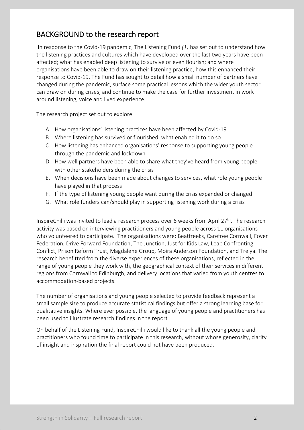# BACKGROUND to the research report

In response to the Covid-19 pandemic, The Listening Fund *(1)* has set out to understand how the listening practices and cultures which have developed over the last two years have been affected; what has enabled deep listening to survive or even flourish; and where organisations have been able to draw on their listening practice, how this enhanced their response to Covid-19. The Fund has sought to detail how a small number of partners have changed during the pandemic, surface some practical lessons which the wider youth sector can draw on during crises, and continue to make the case for further investment in work around listening, voice and lived experience.

The research project set out to explore:

- A. How organisations' listening practices have been affected by Covid-19
- B. Where listening has survived or flourished, what enabled it to do so
- C. How listening has enhanced organisations' response to supporting young people through the pandemic and lockdown
- D. How well partners have been able to share what they've heard from young people with other stakeholders during the crisis
- E. When decisions have been made about changes to services, what role young people have played in that process
- F. If the type of listening young people want during the crisis expanded or changed
- G. What role funders can/should play in supporting listening work during a crisis

InspireChilli was invited to lead a research process over 6 weeks from April  $27<sup>th</sup>$ . The research activity was based on interviewing practitioners and young people across 11 organisations who volunteered to participate. The organisations were: Beatfreeks, Carefree Cornwall, Foyer Federation, Drive Forward Foundation, The Junction, Just for Kids Law, Leap Confronting Conflict, Prison Reform Trust, Magdalene Group, Moira Anderson Foundation, and Trelya. The research benefitted from the diverse experiences of these organisations, reflected in the range of young people they work with, the geographical context of their services in different regions from Cornwall to Edinburgh, and delivery locations that varied from youth centres to accommodation-based projects.

The number of organisations and young people selected to provide feedback represent a small sample size to produce accurate statistical findings but offer a strong learning base for qualitative insights. Where ever possible, the language of young people and practitioners has been used to illustrate research findings in the report.

On behalf of the Listening Fund, InspireChilli would like to thank all the young people and practitioners who found time to participate in this research, without whose generosity, clarity of insight and inspiration the final report could not have been produced.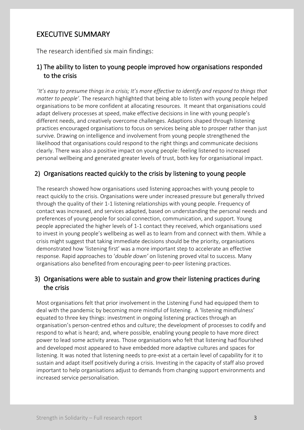# EXECUTIVE SUMMARY

The research identified six main findings:

### 1) The ability to listen to young people improved how organisations responded to the crisis

 '*It's easy to presume things in a crisis; It's more effective to identify and respond to things that matter to people'*. The research highlighted that being able to listen with young people helped organisations to be more confident at allocating resources. It meant that organisations could adapt delivery processes at speed, make effective decisions in line with young people's different needs, and creatively overcome challenges. Adaptions shaped through listening practices encouraged organisations to focus on services being able to prosper rather than just survive. Drawing on intelligence and involvement from young people strengthened the likelihood that organisations could respond to the right things and communicate decisions clearly. There was also a positive impact on young people: feeling listened to increased personal wellbeing and generated greater levels of trust, both key for organisational impact.

### 2) Organisations reacted quickly to the crisis by listening to young people

The research showed how organisations used listening approaches with young people to react quickly to the crisis. Organisations were under increased pressure but generally thrived through the quality of their 1-1 listening relationships with young people. Frequency of contact was increased, and services adapted, based on understanding the personal needs and preferences of young people for social connection, communication, and support. Young people appreciated the higher levels of 1-1 contact they received, which organisations used to invest in young people's wellbeing as well as to learn from and connect with them. While a crisis might suggest that taking immediate decisions should be the priority, organisations demonstrated how 'listening first' was a more important step to accelerate an effective response. Rapid approaches to '*double down'* on listening proved vital to success. Many organisations also benefited from encouraging peer-to-peer listening practices.

### 3) Organisations were able to sustain and grow their listening practices during the crisis

Most organisations felt that prior involvement in the Listening Fund had equipped them to deal with the pandemic by becoming more mindful of listening. A 'listening mindfulness' equated to three key things: investment in ongoing listening practices through an organisation's person-centred ethos and culture; the development of processes to codify and respond to what is heard; and, where possible, enabling young people to have more direct power to lead some activity areas. Those organisations who felt that listening had flourished and developed most appeared to have embedded more adaptive cultures and spaces for listening. It was noted that listening needs to pre-exist at a certain level of capability for it to sustain and adapt itself positively during a crisis. Investing in the capacity of staff also proved important to help organisations adjust to demands from changing support environments and increased service personalisation.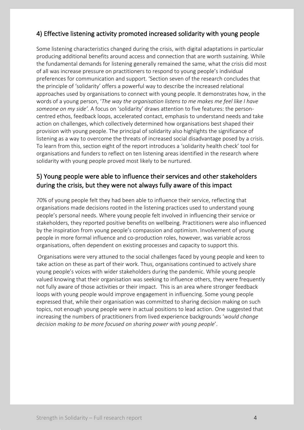### 4) Effective listening activity promoted increased solidarity with young people

Some listening characteristics changed during the crisis, with digital adaptations in particular producing additional benefits around access and connection that are worth sustaining. While the fundamental demands for listening generally remained the same, what the crisis did most of all was increase pressure on practitioners to respond to young people's individual preferences for communication and support. 'Section seven of the research concludes that the principle of 'solidarity' offers a powerful way to describe the increased relational approaches used by organisations to connect with young people. It demonstrates how, in the words of a young person, '*The way the organisation listens to me makes me feel like I have someone on my side'.* A focus on 'solidarity' draws attention to five features: the personcentred ethos, feedback loops, accelerated contact, emphasis to understand needs and take action on challenges, which collectively determined how organisations best shaped their provision with young people. The principal of solidarity also highlights the significance of listening as a way to overcome the threats of increased social disadvantage posed by a crisis. To learn from this, section eight of the report introduces a 'solidarity health check' tool for organisations and funders to reflect on ten listening areas identified in the research where solidarity with young people proved most likely to be nurtured.

### 5) Young people were able to influence their services and other stakeholders during the crisis, but they were not always fully aware of this impact

70% of young people felt they had been able to influence their service, reflecting that organisations made decisions rooted in the listening practices used to understand young people's personal needs. Where young people felt involved in influencing their service or stakeholders, they reported positive benefits on wellbeing. Practitioners were also influenced by the inspiration from young people's compassion and optimism. Involvement of young people in more formal influence and co-production roles, however, was variable across organisations, often dependent on existing processes and capacity to support this.

Organisations were very attuned to the social challenges faced by young people and keen to take action on these as part of their work. Thus, organisations continued to actively share young people's voices with wider stakeholders during the pandemic. While young people valued knowing that their organisation was seeking to influence others, they were frequently not fully aware of those activities or their impact. This is an area where stronger feedback loops with young people would improve engagement in influencing. Some young people expressed that, while their organisation was committed to sharing decision making on such topics, not enough young people were in actual positions to lead action. One suggested that increasing the numbers of practitioners from lived experience backgrounds '*would change decision making to be more focused on sharing power with young people*'.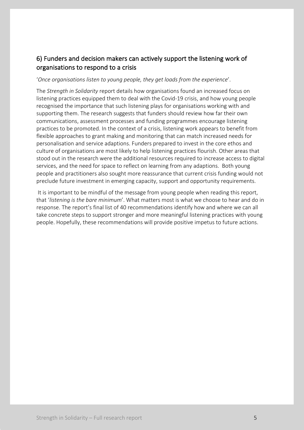### 6) Funders and decision makers can actively support the listening work of organisations to respond to a crisis

### '*Once organisations listen to young people, they get loads from the experience*'.

The *Strength in Solidarity* report details how organisations found an increased focus on listening practices equipped them to deal with the Covid-19 crisis, and how young people recognised the importance that such listening plays for organisations working with and supporting them. The research suggests that funders should review how far their own communications, assessment processes and funding programmes encourage listening practices to be promoted. In the context of a crisis, listening work appears to benefit from flexible approaches to grant making and monitoring that can match increased needs for personalisation and service adaptions. Funders prepared to invest in the core ethos and culture of organisations are most likely to help listening practices flourish. Other areas that stood out in the research were the additional resources required to increase access to digital services, and the need for space to reflect on learning from any adaptions. Both young people and practitioners also sought more reassurance that current crisis funding would not preclude future investment in emerging capacity, support and opportunity requirements.

It is important to be mindful of the message from young people when reading this report, that '*listening is the bare minimum*'. What matters most is what we choose to hear and do in response. The report's final list of 40 recommendations identify how and where we can all take concrete steps to support stronger and more meaningful listening practices with young people. Hopefully, these recommendations will provide positive impetus to future actions.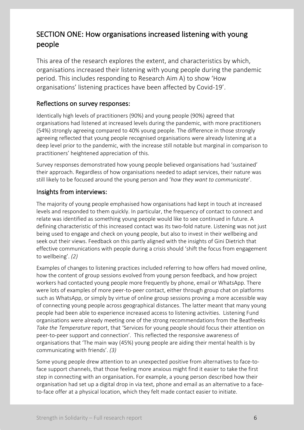# SECTION ONE: How organisations increased listening with young people

This area of the research explores the extent, and characteristics by which, organisations increased their listening with young people during the pandemic period. This includes responding to Research Aim A) to show 'How organisations' listening practices have been affected by Covid-19'.

### Reflections on survey responses:

Identically high levels of practitioners (90%) and young people (90%) agreed that organisations had listened at increased levels during the pandemic, with more practitioners (54%) strongly agreeing compared to 40% young people. The difference in those strongly agreeing reflected that young people recognised organisations were already listening at a deep level prior to the pandemic, with the increase still notable but marginal in comparison to practitioners' heightened appreciation of this.

Survey responses demonstrated how young people believed organisations had 'sustained' their approach. Regardless of how organisations needed to adapt services, their nature was still likely to be focused around the young person and '*how they want to communicate*'.

### Insights from interviews:

The majority of young people emphasised how organisations had kept in touch at increased levels and responded to them quickly. In particular, the frequency of contact to connect and relate was identified as something young people would like to see continued in future. A defining characteristic of this increased contact was its two-fold nature. Listening was not just being used to engage and check on young people, but also to invest in their wellbeing and seek out their views. Feedback on this partly aligned with the insights of Gini Dietrich that effective communications with people during a crisis should 'shift the focus from engagement to wellbeing'. *(2)*

Examples of changes to listening practices included referring to how offers had moved online, how the content of group sessions evolved from young person feedback, and how project workers had contacted young people more frequently by phone, email or WhatsApp. There were lots of examples of more peer-to-peer contact, either through group chat on platforms such as WhatsApp, or simply by virtue of online group sessions proving a more accessible way of connecting young people across geographical distances. The latter meant that many young people had been able to experience increased access to listening activities. Listening Fund organisations were already meeting one of the strong recommendations from the Beatfreeks *Take the Temperature* report, that 'Services for young people should focus their attention on peer-to-peer support and connection'. This reflected the responsive awareness of organisations that 'The main way (45%) young people are aiding their mental health is by communicating with friends'. *(3)*

Some young people drew attention to an unexpected positive from alternatives to face-toface support channels, that those feeling more anxious might find it easier to take the first step in connecting with an organisation. For example, a young person described how their organisation had set up a digital drop in via text, phone and email as an alternative to a faceto-face offer at a physical location, which they felt made contact easier to initiate.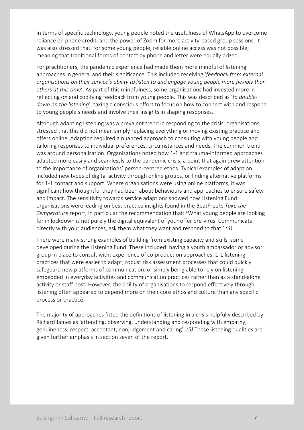In terms of specific technology, young people noted the usefulness of WhatsApp to overcome reliance on phone credit, and the power of Zoom for more activity-based group sessions. It was also stressed that, for some young people, reliable online access was not possible, meaning that traditional forms of contact by phone and letter were equally prized.

For practitioners, the pandemic experience had made them more mindful of listening approaches in general and their significance. This included receiving '*feedback from external organisations on their service's ability to listen to and engage young people more flexibly than others at this time*'. As part of this mindfulness, some organisations had invested more in reflecting on and codifying feedback from young people. This was described as '*to doubledown on the listening*', taking a conscious effort to focus on how to connect with and respond to young people's needs and involve their insights in shaping responses.

Although adapting listening was a prevalent trend in responding to the crisis, organisations stressed that this did not mean simply replacing everything or moving existing practice and offers online. Adaption required a nuanced approach to consulting with young people and tailoring responses to individual preferences, circumstances and needs. The common trend was around personalisation. Organisations noted how 1-1 and trauma-informed approaches adapted more easily and seamlessly to the pandemic crisis, a point that again drew attention to the importance of organisations' person-centred ethos. Typical examples of adaption included new types of digital activity through online groups, or finding alternative platforms for 1-1 contact and support. Where organisations were using online platforms, it was significant how thoughtful they had been about behaviours and approaches to ensure safety and impact. The sensitivity towards service adaptions showed how Listening Fund organisations were leading on best practice insights found in the BeatFreeks *Take the Temperature* report, in particular the recommendation that: **'**What young people are looking for in lockdown is not purely the digital equivalent of your offer pre-virus. Communicate directly with your audiences, ask them what they want and respond to that.' *(4)*

There were many strong examples of building from existing capacity and skills, some developed during the Listening Fund. These included: having a youth ambassador or advisor group in place to consult with; experience of co-production approaches; 1-1 listening practices that were easier to adapt; robust risk assessment processes that could quickly safeguard new platforms of communication; or simply being able to rely on listening embedded in everyday activities and communication practices rather than as a stand-alone activity or staff post. However, the ability of organisations to respond effectively through listening often appeared to depend more on their core ethos and culture than any specific process or practice.

The majority of approaches fitted the definitions of listening in a crisis helpfully described by Richard James as 'attending, observing, understanding and responding with empathy, genuineness, respect, acceptant, nonjudgement and caring'. *(5)* These listening qualities are given further emphasis in section seven of the report.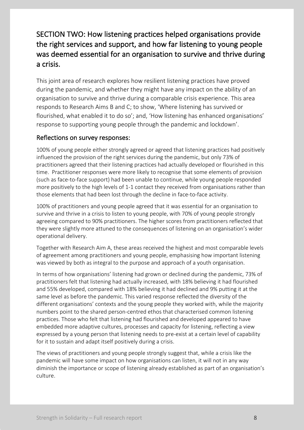# SECTION TWO: How listening practices helped organisations provide the right services and support, and how far listening to young people was deemed essential for an organisation to survive and thrive during a crisis.

This joint area of research explores how resilient listening practices have proved during the pandemic, and whether they might have any impact on the ability of an organisation to survive and thrive during a comparable crisis experience. This area responds to Research Aims B and C; to show, 'Where listening has survived or flourished, what enabled it to do so'; and, 'How listening has enhanced organisations' response to supporting young people through the pandemic and lockdown'.

### Reflections on survey responses:

100% of young people either strongly agreed or agreed that listening practices had positively influenced the provision of the right services during the pandemic, but only 73% of practitioners agreed that their listening practices had actually developed or flourished in this time. Practitioner responses were more likely to recognise that some elements of provision (such as face-to-face support) had been unable to continue, while young people responded more positively to the high levels of 1-1 contact they received from organisations rather than those elements that had been lost through the decline in face-to-face activity.

100% of practitioners and young people agreed that it was essential for an organisation to survive and thrive in a crisis to listen to young people, with 70% of young people strongly agreeing compared to 90% practitioners. The higher scores from practitioners reflected that they were slightly more attuned to the consequences of listening on an organisation's wider operational delivery.

Together with Research Aim A, these areas received the highest and most comparable levels of agreement among practitioners and young people, emphasising how important listening was viewed by both as integral to the purpose and approach of a youth organisation.

In terms of how organisations' listening had grown or declined during the pandemic, 73% of practitioners felt that listening had actually increased, with 18% believing it had flourished and 55% developed, compared with 18% believing it had declined and 9% putting it at the same level as before the pandemic. This varied response reflected the diversity of the different organisations' contexts and the young people they worked with, while the majority numbers point to the shared person-centred ethos that characterised common listening practices. Those who felt that listening had flourished and developed appeared to have embedded more adaptive cultures, processes and capacity for listening, reflecting a view expressed by a young person that listening needs to pre-exist at a certain level of capability for it to sustain and adapt itself positively during a crisis.

The views of practitioners and young people strongly suggest that, while a crisis like the pandemic will have some impact on how organisations can listen, it will not in any way diminish the importance or scope of listening already established as part of an organisation's culture.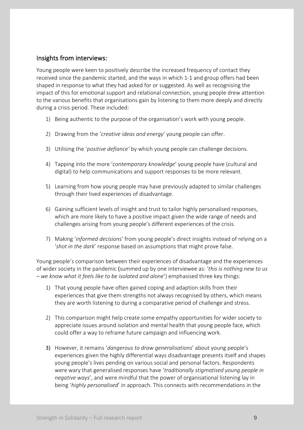### Insights from interviews:

Young people were keen to positively describe the increased frequency of contact they received since the pandemic started, and the ways in which 1-1 and group offers had been shaped in response to what they had asked for or suggested. As well as recognising the impact of this for emotional support and relational connection, young people drew attention to the various benefits that organisations gain by listening to them more deeply and directly during a crisis period. These included:

- 1) Being authentic to the purpose of the organisation's work with young people.
- 2) Drawing from the '*creative ideas and energy*' young people can offer.
- 3) Utilising the '*positive defiance'* by which young people can challenge decisions.
- 4) Tapping into the more '*contemporary knowledge*' young people have (cultural and digital) to help communications and support responses to be more relevant.
- 5) Learning from how young people may have previously adapted to similar challenges through their lived experiences of disadvantage.
- 6) Gaining sufficient levels of insight and trust to tailor highly personalised responses, which are more likely to have a positive impact given the wide range of needs and challenges arising from young people's different experiences of the crisis.
- 7) Making '*informed decision*s' from young people's direct insights instead of relying on a '*shot in the da*r*k*' response based on assumptions that might prove false.

Young people's comparison between their experiences of disadvantage and the experiences of wider society in the pandemic (summed up by one interviewee as: '*this is nothing new to us – we know what it feels like to be isolated and alone*') emphasised three key things:

- 1) That young people have often gained coping and adaption skills from their experiences that give them strengths not always recognised by others, which means they are worth listening to during a comparative period of challenge and stress.
- 2) This comparison might help create some empathy opportunities for wider society to appreciate issues around isolation and mental health that young people face, which could offer a way to reframe future campaign and influencing work.
- 3) However, it remains '*dangerous to draw generalisations*' about young people's experiences given the highly differential ways disadvantage presents itself and shapes young people's lives pending on various social and personal factors. Respondents were wary that generalised responses have '*traditionally stigmatised young people in negative ways*', and were mindful that the power of organisational listening lay in being '*highly personalised*' in approach. This connects with recommendations in the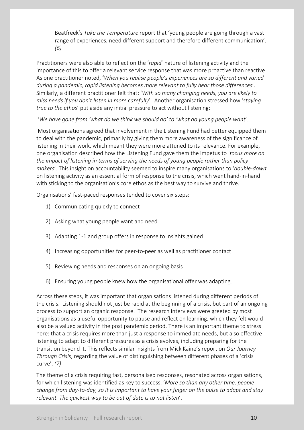Beatfreek's *Take the Temperature* report that 'young people are going through a vast range of experiences, need different support and therefore different communication'. *(6)*

Practitioners were also able to reflect on the '*rapid*' nature of listening activity and the importance of this to offer a relevant service response that was more proactive than reactive. As one practitioner noted, '*When you realise people's experiences are so different and varied during a pandemic, rapid listening becomes more relevant to fully hear those differences*'. Similarly, a different practitioner felt that: '*With so many changing needs, you are likely to miss needs if you don't listen in more carefully*'. Another organisation stressed how '*staying true to the ethos*' put aside any initial pressure to act without listening:

'*We have gone from 'what do we think we should do' to 'what do young people want*'.

Most organisations agreed that involvement in the Listening Fund had better equipped them to deal with the pandemic, primarily by giving them more awareness of the significance of listening in their work, which meant they were more attuned to its relevance. For example, one organisation described how the Listening Fund gave them the impetus to '*focus more on the impact of listening in terms of serving the needs of young people rather than policy makers*'. This insight on accountability seemed to inspire many organisations to '*double-down*' on listening activity as an essential form of response to the crisis, which went hand-in-hand with sticking to the organisation's core ethos as the best way to survive and thrive.

Organisations' fast-paced responses tended to cover six steps:

- 1) Communicating quickly to connect
- 2) Asking what young people want and need
- 3) Adapting 1-1 and group offers in response to insights gained
- 4) Increasing opportunities for peer-to-peer as well as practitioner contact
- 5) Reviewing needs and responses on an ongoing basis
- 6) Ensuring young people knew how the organisational offer was adapting.

Across these steps, it was important that organisations listened during different periods of the crisis. Listening should not just be rapid at the beginning of a crisis, but part of an ongoing process to support an organic response. The research interviews were greeted by most organisations as a useful opportunity to pause and reflect on learning, which they felt would also be a valued activity in the post pandemic period. There is an important theme to stress here: that a crisis requires more than just a response to immediate needs, but also effective listening to adapt to different pressures as a crisis evolves, including preparing for the transition beyond it. This reflects similar insights from Mick Kaine's report on *Our Journey Through Crisis*, regarding the value of distinguishing between different phases of a 'crisis curve'. *(7)*

The theme of a crisis requiring fast, personalised responses, resonated across organisations, for which listening was identified as key to success. '*More so than any other time, people change from day-to-day, so it is important to have your finger on the pulse to adapt and stay relevant. The quickest way to be out of date is to not listen*'.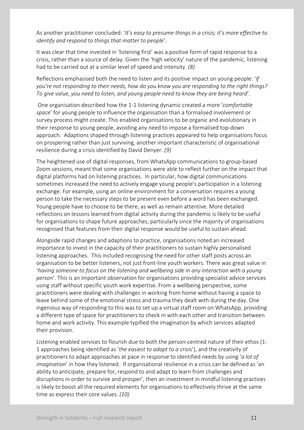As another practitioner concluded: '*It's easy to presume things in a crisis; it's more effective to identify and respond to things that matter to people*'.

It was clear that time invested in 'listening first' was a positive form of rapid response to a crisis, rather than a source of delay. Given the 'high velocity' nature of the pandemic, listening had to be carried out at a similar level of speed and intensity. *(8)*

Reflections emphasised both the need to listen and its positive impact on young people: '*If you're not responding to their needs, how do you know you are responding to the right things? To give value, you need to listen, and young people need to know they are being heard*'.

One organisation described how the 1-1 listening dynamic created a more '*comfortable space*' for young people to influence the organisation than a formalised involvement or survey process might create. This enabled organisations to be organic and evolutionary in their response to young people, avoiding any need to impose a formalised top-down approach. Adaptions shaped through listening practices appeared to help organisations focus on prospering rather than just surviving, another important characteristic of organisational resilience during a crisis identified by David Denyer. *(9)*

The heightened use of digital responses, from WhatsApp communications to group-based Zoom sessions, meant that some organisations were able to reflect further on the impact that digital platforms had on listening practices. In particular, how digital communications sometimes increased the need to actively engage young people's participation in a listening exchange. For example, using an online environment for a conversation requires a young person to take the necessary steps to be present even before a word has been exchanged. Young people have to choose to be there, as well as remain attentive. More detailed reflections on lessons learned from digital activity during the pandemic is likely to be useful for organisations to shape future approaches, particularly since the majority of organisations recognised that features from their digital response would be useful to sustain ahead.

Alongside rapid changes and adaptions to practice, organisations noted an increased importance to invest in the capacity of their practitioners to sustain highly personalised listening approaches. This included recognising the need for other staff posts across an organisation to be better listeners, not just front-line youth workers. There was great value in '*having someone to focus on the listening and wellbeing side in any interaction with a young person*'. This is an important observation for organisations providing specialist advice services using staff without specific youth work expertise. From a wellbeing perspective, some practitioners were dealing with challenges in working from home without having a space to leave behind some of the emotional stress and trauma they dealt with during the day. One ingenious way of responding to this was to set up a virtual staff room on WhatsApp, providing a different type of space for practitioners to check in with each other and transition between home and work activity. This example typified the imagination by which services adapted their provision.

Listening enabled services to flourish due to both the person-centred nature of their ethos (1- 1 approaches being identified as '*the easiest to adapt to a crisi*s'), and the creativity of practitioners to adapt approaches at pace in response to identified needs by using '*a lot of imagination*' in how they listened. If organisational resilience in a crisis can be defined as 'an ability to anticipate, prepare for, respond to and adapt to learn from challenges and disruptions in order to survive and prosper', then an investment in mindful listening practices is likely to boost all the required elements for organisations to effectively thrive at the same time as express their core values. *(10)*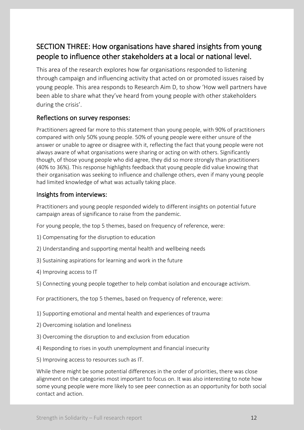# SECTION THREE: How organisations have shared insights from young people to influence other stakeholders at a local or national level.

This area of the research explores how far organisations responded to listening through campaign and influencing activity that acted on or promoted issues raised by young people. This area responds to Research Aim D, to show 'How well partners have been able to share what they've heard from young people with other stakeholders during the crisis'.

### Reflections on survey responses:

Practitioners agreed far more to this statement than young people, with 90% of practitioners compared with only 50% young people. 50% of young people were either unsure of the answer or unable to agree or disagree with it, reflecting the fact that young people were not always aware of what organisations were sharing or acting on with others. Significantly though, of those young people who did agree, they did so more strongly than practitioners (40% to 36%). This response highlights feedback that young people did value knowing that their organisation was seeking to influence and challenge others, even if many young people had limited knowledge of what was actually taking place.

### Insights from interviews:

Practitioners and young people responded widely to different insights on potential future campaign areas of significance to raise from the pandemic.

For young people, the top 5 themes, based on frequency of reference, were:

- 1) Compensating for the disruption to education
- 2) Understanding and supporting mental health and wellbeing needs
- 3) Sustaining aspirations for learning and work in the future
- 4) Improving access to IT
- 5) Connecting young people together to help combat isolation and encourage activism.

For practitioners, the top 5 themes, based on frequency of reference, were:

1) Supporting emotional and mental health and experiences of trauma

- 2) Overcoming isolation and loneliness
- 3) Overcoming the disruption to and exclusion from education
- 4) Responding to rises in youth unemployment and financial insecurity
- 5) Improving access to resources such as IT.

While there might be some potential differences in the order of priorities, there was close alignment on the categories most important to focus on. It was also interesting to note how some young people were more likely to see peer connection as an opportunity for both social contact and action.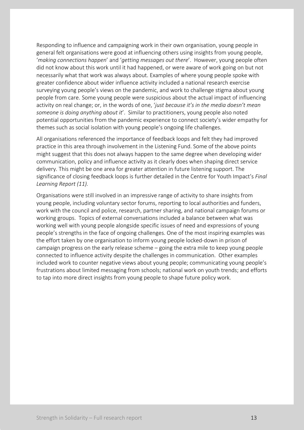Responding to influence and campaigning work in their own organisation, young people in general felt organisations were good at influencing others using insights from young people, '*making connections happen*' and '*getting messages out there*'. However, young people often did not know about this work until it had happened, or were aware of work going on but not necessarily what that work was always about. Examples of where young people spoke with greater confidence about wider influence activity included a national research exercise surveying young people's views on the pandemic, and work to challenge stigma about young people from care. Some young people were suspicious about the actual impact of influencing activity on real change; or, in the words of one, '*just because it's in the media doesn't mean someone is doing anything about it*'. Similar to practitioners, young people also noted potential opportunities from the pandemic experience to connect society's wider empathy for themes such as social isolation with young people's ongoing life challenges.

All organisations referenced the importance of feedback loops and felt they had improved practice in this area through involvement in the Listening Fund. Some of the above points might suggest that this does not always happen to the same degree when developing wider communication, policy and influence activity as it clearly does when shaping direct service delivery. This might be one area for greater attention in future listening support. The significance of closing feedback loops is further detailed in the Centre for Youth Impact's *Final Learning Report (11).*

Organisations were still involved in an impressive range of activity to share insights from young people, including voluntary sector forums, reporting to local authorities and funders, work with the council and police, research, partner sharing, and national campaign forums or working groups. Topics of external conversations included a balance between what was working well with young people alongside specific issues of need and expressions of young people's strengths in the face of ongoing challenges. One of the most inspiring examples was the effort taken by one organisation to inform young people locked-down in prison of campaign progress on the early release scheme – going the extra mile to keep young people connected to influence activity despite the challenges in communication. Other examples included work to counter negative views about young people; communicating young people's frustrations about limited messaging from schools; national work on youth trends; and efforts to tap into more direct insights from young people to shape future policy work.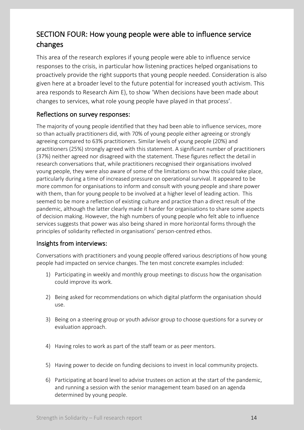# SECTION FOUR: How young people were able to influence service changes

This area of the research explores if young people were able to influence service responses to the crisis, in particular how listening practices helped organisations to proactively provide the right supports that young people needed. Consideration is also given here at a broader level to the future potential for increased youth activism. This area responds to Research Aim E), to show 'When decisions have been made about changes to services, what role young people have played in that process'.

### Reflections on survey responses:

The majority of young people identified that they had been able to influence services, more so than actually practitioners did, with 70% of young people either agreeing or strongly agreeing compared to 63% practitioners. Similar levels of young people (20%) and practitioners (25%) strongly agreed with this statement. A significant number of practitioners (37%) neither agreed nor disagreed with the statement. These figures reflect the detail in research conversations that, while practitioners recognised their organisations involved young people, they were also aware of some of the limitations on how this could take place, particularly during a time of increased pressure on operational survival. It appeared to be more common for organisations to inform and consult with young people and share power with them, than for young people to be involved at a higher level of leading action. This seemed to be more a reflection of existing culture and practice than a direct result of the pandemic, although the latter clearly made it harder for organisations to share some aspects of decision making. However, the high numbers of young people who felt able to influence services suggests that power was also being shared in more horizontal forms through the principles of solidarity reflected in organisations' person-centred ethos.

### Insights from interviews:

Conversations with practitioners and young people offered various descriptions of how young people had impacted on service changes. The ten most concrete examples included:

- 1) Participating in weekly and monthly group meetings to discuss how the organisation could improve its work.
- 2) Being asked for recommendations on which digital platform the organisation should use.
- 3) Being on a steering group or youth advisor group to choose questions for a survey or evaluation approach.
- 4) Having roles to work as part of the staff team or as peer mentors.
- 5) Having power to decide on funding decisions to invest in local community projects.
- 6) Participating at board level to advise trustees on action at the start of the pandemic, and running a session with the senior management team based on an agenda determined by young people.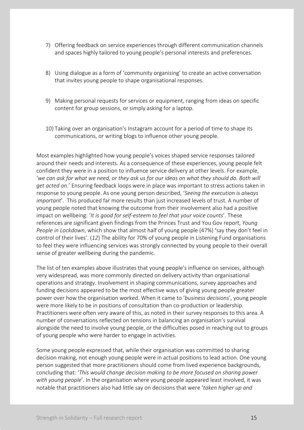- 7) Offering feedback on service experiences through different communication channels and spaces highly tailored to young people's personal interests and preferences.
- 8) Using dialogue as a form of 'community organising' to create an active conversation that invites young people to shape organisational responses.
- 9) Making personal requests for services or equipment, ranging from ideas on specific content for group sessions, or simply asking for a laptop.
- 10) Taking over an organisation's Instagram account for a period of time to shape its communications, or writing blogs to influence other young people.

Most examples highlighted how young people's voices shaped service responses tailored around their needs and interests. As a consequence of these experiences, young people felt confident they were in a position to influence service delivery at other levels. For example, 'we can ask for what we need, or they ask us for our ideas on what they should do. Both will *get acted on*.' Ensuring feedback loops were in place was important to stress actions taken in response to young people. As one young person described, '*Seeing the execution is always important*'. This produced far more results than just increased levels of trust. A number of young people noted that knowing the outcome from their involvement also had a positive impact on wellbeing: '*It is good for self-esteem to feel that your voice counts*'. These references are significant given findings from the Princes Trust and You Gov report, *Young People in Lockdown*, which show that almost half of young people (47%) 'say they don't feel in control of their lives'. (*12*) The ability for 70% of young people in Listening Fund organisations to feel they were influencing services was strongly connected by young people to their overall sense of greater wellbeing during the pandemic.

The list of ten examples above illustrates that young people's influence on services, although very widespread, was more commonly directed on delivery activity than organisational operations and strategy. Involvement in shaping communications, survey approaches and funding decisions appeared to be the most effective ways of giving young people greater power over how the organisation worked. When it came to '*business decisions*', young people were more likely to be in positions of consultation than co-production or leadership. Practitioners were often very aware of this, as noted in their survey responses to this area. A number of conversations reflected on tensions in balancing an organisation's survival alongside the need to involve young people, or the difficulties posed in reaching out to groups of young people who were harder to engage in activities.

Some young people expressed that, while their organisation was committed to sharing decision making, not enough young people were in actual positions to lead action. One young person suggested that more practitioners should come from lived experience backgrounds, concluding that: '*This would change decision making to be more focused on sharing power with young people*'. In the organisation where young people appeared least involved, it was notable that practitioners also had little say on decisions that were '*taken higher up and*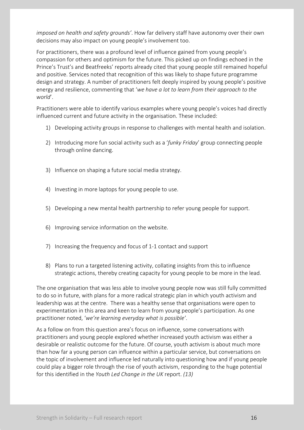*imposed on health and safety grounds'*. How far delivery staff have autonomy over their own decisions may also impact on young people's involvement too.

For practitioners, there was a profound level of influence gained from young people's compassion for others and optimism for the future. This picked up on findings echoed in the Prince's Trust's and Beatfreeks' reports already cited that young people still remained hopeful and positive. Services noted that recognition of this was likely to shape future programme design and strategy. A number of practitioners felt deeply inspired by young people's positive energy and resilience, commenting that '*we have a lot to learn from their approach to the world*'.

Practitioners were able to identify various examples where young people's voices had directly influenced current and future activity in the organisation. These included:

- 1) Developing activity groups in response to challenges with mental health and isolation.
- 2) Introducing more fun social activity such as a '*funky Friday*' group connecting people through online dancing.
- 3) Influence on shaping a future social media strategy.
- 4) Investing in more laptops for young people to use.
- 5) Developing a new mental health partnership to refer young people for support.
- 6) Improving service information on the website.
- 7) Increasing the frequency and focus of 1-1 contact and support
- 8) Plans to run a targeted listening activity, collating insights from this to influence strategic actions, thereby creating capacity for young people to be more in the lead.

The one organisation that was less able to involve young people now was still fully committed to do so in future, with plans for a more radical strategic plan in which youth activism and leadership was at the centre. There was a healthy sense that organisations were open to experimentation in this area and keen to learn from young people's participation. As one practitioner noted, '*we're learning everyday what is possible'*.

As a follow on from this question area's focus on influence, some conversations with practitioners and young people explored whether increased youth activism was either a desirable or realistic outcome for the future. Of course, youth activism is about much more than how far a young person can influence within a particular service, but conversations on the topic of involvement and influence led naturally into questioning how and if young people could play a bigger role through the rise of youth activism, responding to the huge potential for this identified in the *Youth Led Change in the UK* report. *(13)*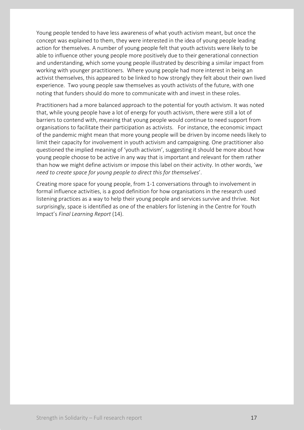Young people tended to have less awareness of what youth activism meant, but once the concept was explained to them, they were interested in the idea of young people leading action for themselves. A number of young people felt that youth activists were likely to be able to influence other young people more positively due to their generational connection and understanding, which some young people illustrated by describing a similar impact from working with younger practitioners. Where young people had more interest in being an activist themselves, this appeared to be linked to how strongly they felt about their own lived experience. Two young people saw themselves as youth activists of the future, with one noting that funders should do more to communicate with and invest in these roles.

Practitioners had a more balanced approach to the potential for youth activism. It was noted that, while young people have a lot of energy for youth activism, there were still a lot of barriers to contend with, meaning that young people would continue to need support from organisations to facilitate their participation as activists. For instance, the economic impact of the pandemic might mean that more young people will be driven by income needs likely to limit their capacity for involvement in youth activism and campaigning. One practitioner also questioned the implied meaning of 'youth activism', suggesting it should be more about how young people choose to be active in any way that is important and relevant for them rather than how we might define activism or impose this label on their activity. In other words, '*we need to create space for young people to direct this for themselves*'.

Creating more space for young people, from 1-1 conversations through to involvement in formal influence activities, is a good definition for how organisations in the research used listening practices as a way to help their young people and services survive and thrive. Not surprisingly, space is identified as one of the enablers for listening in the Centre for Youth Impact's *Final Learning Report* (14).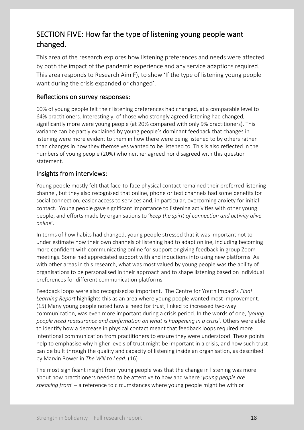# SECTION FIVE: How far the type of listening young people want changed.

This area of the research explores how listening preferences and needs were affected by both the impact of the pandemic experience and any service adaptions required. This area responds to Research Aim F), to show 'If the type of listening young people want during the crisis expanded or changed'.

### Reflections on survey responses:

60% of young people felt their listening preferences had changed, at a comparable level to 64% practitioners. Interestingly, of those who strongly agreed listening had changed, significantly more were young people (at 20% compared with only 9% practitioners). This variance can be partly explained by young people's dominant feedback that changes in listening were more evident to them in how there were being listened to by others rather than changes in how they themselves wanted to be listened to. This is also reflected in the numbers of young people (20%) who neither agreed nor disagreed with this question statement.

### Insights from interviews:

Young people mostly felt that face-to-face physical contact remained their preferred listening channel, but they also recognised that online, phone or text channels had some benefits for social connection, easier access to services and, in particular, overcoming anxiety for initial contact. Young people gave significant importance to listening activities with other young people, and efforts made by organisations to '*keep the spirit of connection and activity alive online*'.

In terms of how habits had changed, young people stressed that it was important not to under estimate how their own channels of listening had to adapt online, including becoming more confident with communicating online for support or giving feedback in group Zoom meetings. Some had appreciated support with and inductions into using new platforms. As with other areas in this research, what was most valued by young people was the ability of organisations to be personalised in their approach and to shape listening based on individual preferences for different communication platforms.

Feedback loops were also recognised as important. The Centre for Youth Impact's *Final Learning Report* highlights this as an area where young people wanted most improvement. (15) Many young people noted how a need for trust, linked to increased two-way communication, was even more important during a crisis period. In the words of one, '*young people need reassurance and confirmation on what is happening in a crisis*'. Others were able to identify how a decrease in physical contact meant that feedback loops required more intentional communication from practitioners to ensure they were understood. These points help to emphasise why higher levels of trust might be important in a crisis, and how such trust can be built through the quality and capacity of listening inside an organisation, as described by Marvin Bower in *The Will to Lead*. (16)

The most significant insight from young people was that the change in listening was more about how practitioners needed to be attentive to how and where '*young people are speaking from*' – a reference to circumstances where young people might be with or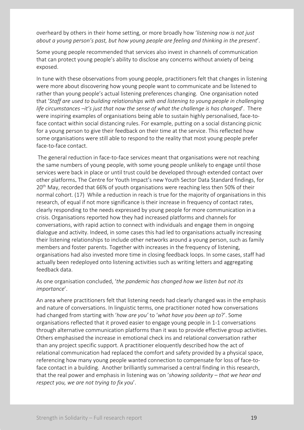overheard by others in their home setting, or more broadly how '*listening now is not just about a young person's past, but how young people are feeling and thinking in the present*'.

Some young people recommended that services also invest in channels of communication that can protect young people's ability to disclose any concerns without anxiety of being exposed.

In tune with these observations from young people, practitioners felt that changes in listening were more about discovering how young people want to communicate and be listened to rather than young people's actual listening preferences changing. One organisation noted that '*Staff are used to building relationships with and listening to young people in challenging life circumstances –it's just that now the sense of what the challenge is has changed*'. There were inspiring examples of organisations being able to sustain highly personalised, face-toface contact within social distancing rules. For example, putting on a social distancing picnic for a young person to give their feedback on their time at the service. This reflected how some organisations were still able to respond to the reality that most young people prefer face-to-face contact.

The general reduction in face-to-face services meant that organisations were not reaching the same numbers of young people, with some young people unlikely to engage until those services were back in place or until trust could be developed through extended contact over other platforms. The Centre for Youth Impact's new Youth Sector Data Standard findings, for 20<sup>th</sup> May, recorded that 66% of youth organisations were reaching less then 50% of their normal cohort. (17) While a reduction in reach is true for the majority of organisations in this research, of equal if not more significance is their increase in frequency of contact rates, clearly responding to the needs expressed by young people for more communication in a crisis. Organisations reported how they had increased platforms and channels for conversations, with rapid action to connect with individuals and engage them in ongoing dialogue and activity. Indeed, in some cases this had led to organisations actually increasing their listening relationships to include other networks around a young person, such as family members and foster parents. Together with increases in the frequency of listening, organisations had also invested more time in closing feedback loops. In some cases, staff had actually been redeployed onto listening activities such as writing letters and aggregating feedback data.

As one organisation concluded, '*the pandemic has changed how we listen but not its importance*'.

An area where practitioners felt that listening needs had clearly changed was in the emphasis and nature of conversations. In linguistic terms, one practitioner noted how conversations had changed from starting with '*how are you'* to '*what have you been up to*?'. Some organisations reflected that it proved easier to engage young people in 1-1 conversations through alternative communication platforms than it was to provide effective group activities. Others emphasised the increase in emotional check ins and relational conversation rather than any project specific support. A practitioner eloquently described how the act of relational communication had replaced the comfort and safety provided by a physical space, referencing how many young people wanted connection to compensate for loss of face-toface contact in a building. Another brilliantly summarised a central finding in this research, that the real power and emphasis in listening was on '*showing solidarity – that we hear and respect you, we are not trying to fix you*'.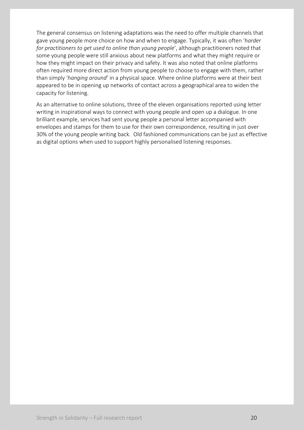The general consensus on listening adaptations was the need to offer multiple channels that gave young people more choice on how and when to engage. Typically, it was often '*harder for practitioners to get used to online than young people*', although practitioners noted that some young people were still anxious about new platforms and what they might require or how they might impact on their privacy and safety. It was also noted that online platforms often required more direct action from young people to choose to engage with them, rather than simply '*hanging around*' in a physical space. Where online platforms were at their best appeared to be in opening up networks of contact across a geographical area to widen the capacity for listening.

As an alternative to online solutions, three of the eleven organisations reported using letter writing in inspirational ways to connect with young people and open up a dialogue. In one brilliant example, services had sent young people a personal letter accompanied with envelopes and stamps for them to use for their own correspondence, resulting in just over 30% of the young people writing back. Old fashioned communications can be just as effective as digital options when used to support highly personalised listening responses.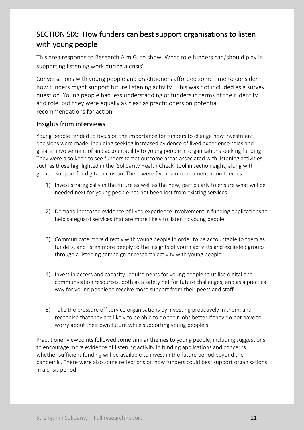# SECTION SIX: How funders can best support organisations to listen with young people

This area responds to Research Aim G, to show 'What role funders can/should play in supporting listening work during a crisis'.

Conversations with young people and practitioners afforded some time to consider how funders might support future listening activity. This was not included as a survey question. Young people had less understanding of funders in terms of their identity and role, but they were equally as clear as practitioners on potential recommendations for action.

### Insights from interviews

Young people tended to focus on the importance for funders to change how investment decisions were made, including seeking increased evidence of lived experience roles and greater involvement of and accountability to young people in organisations seeking funding. They were also keen to see funders target outcome areas associated with listening activities, such as those highlighted in the 'Solidarity Health Check' tool in section eight, along with greater support for digital inclusion. There were five main recommendation themes:

- 1) Invest strategically in the future as well as the now, particularly to ensure what will be needed next for young people has not been lost from existing services.
- 2) Demand increased evidence of lived experience involvement in funding applications to help safeguard services that are more likely to listen to young people.
- 3) Communicate more directly with young people in order to be accountable to them as funders, and listen more deeply to the insights of youth activists and excluded groups through a listening campaign or research activity with young people.
- 4) Invest in access and capacity requirements for young people to utilise digital and communication resources, both as a safety net for future challenges, and as a practical way for young people to receive more support from their peers and staff.
- 5) Take the pressure off service organisations by investing proactively in them, and recognise that they are likely to be able to do their jobs better if they do not have to worry about their own future while supporting young people's.

Practitioner viewpoints followed some similar themes to young people, including suggestions to encourage more evidence of listening activity in funding applications and concerns whether sufficient funding will be available to invest in the future period beyond the pandemic. There were also some reflections on how funders could best support organisations in a crisis period.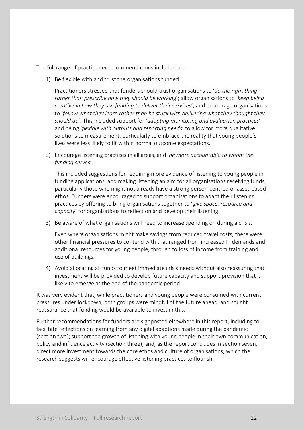The full range of practitioner recommendations included to:

1) Be flexible with and trust the organisations funded.

Practitioners stressed that funders should trust organisations to '*do the right thing rather than prescribe how they should be workin*g'; allow organisations to '*keep being creative in how they use funding to deliver their services*'; and encourage organisations to '*follow what they learn rather than be stuck with delivering what they thought they should do*'. This included support for '*adapting monitoring and evaluation practices*' and being '*flexible with outputs and reporting needs*' to allow for more qualitative solutions to measurement, particularly to embrace the reality that young people's lives were less likely to fit within normal outcome expectations.

2) Encourage listening practices in all areas, and '*be more accountable to whom the funding serves*'.

This included suggestions for requiring more evidence of listening to young people in funding applications, and making listening an aim for all organisations receiving funds, particularly those who might not already have a strong person-centred or asset-based ethos. Funders were encouraged to support organisations to adapt their listening practices by offering to bring organisations together to '*give space, resource and capacity*' for organisations to reflect on and develop their listening.

3) Be aware of what organisations will need to increase spending on during a crisis.

Even where organisations might make savings from reduced travel costs, there were other financial pressures to contend with that ranged from increased IT demands and additional resources for young people, through to loss of income from training and use of buildings.

4) Avoid allocating all funds to meet immediate crisis needs without also reassuring that investment will be provided to develop future capacity and support provision that is likely to emerge at the end of the pandemic period.

It was very evident that, while practitioners and young people were consumed with current pressures under lockdown, both groups were mindful of the future ahead, and sought reassurance that funding would be available to invest in this.

Further recommendations for funders are signposted elsewhere in this report, including to: facilitate reflections on learning from any digital adaptions made during the pandemic (section two); support the growth of listening with young people in their own communication, policy and influence activity (section three); and, as the report concludes in section seven, direct more investment towards the core ethos and culture of organisations, which the research suggests will encourage effective listening practices to flourish.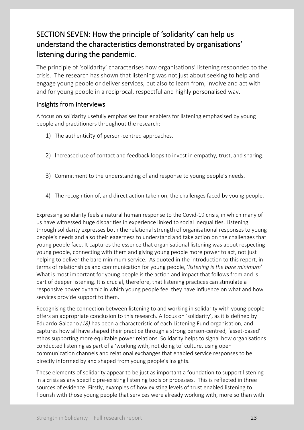# SECTION SEVEN: How the principle of 'solidarity' can help us understand the characteristics demonstrated by organisations' listening during the pandemic.

The principle of 'solidarity' characterises how organisations' listening responded to the crisis. The research has shown that listening was not just about seeking to help and engage young people or deliver services, but also to learn from, involve and act with and for young people in a reciprocal, respectful and highly personalised way.

### Insights from interviews

A focus on solidarity usefully emphasises four enablers for listening emphasised by young people and practitioners throughout the research:

- 1) The authenticity of person-centred approaches.
- 2) Increased use of contact and feedback loops to invest in empathy, trust, and sharing.
- 3) Commitment to the understanding of and response to young people's needs.
- 4) The recognition of, and direct action taken on, the challenges faced by young people.

Expressing solidarity feels a natural human response to the Covid-19 crisis, in which many of us have witnessed huge disparities in experience linked to social inequalities. Listening through solidarity expresses both the relational strength of organisational responses to young people's needs and also their eagerness to understand and take action on the challenges that young people face. It captures the essence that organisational listening was about respecting young people, connecting with them and giving young people more power to act, not just helping to deliver the bare minimum service. As quoted in the introduction to this report, in terms of relationships and communication for young people, '*listening is the bare minimum*'. What is most important for young people is the action and impact that follows from and is part of deeper listening. It is crucial, therefore, that listening practices can stimulate a responsive power dynamic in which young people feel they have influence on what and how services provide support to them.

Recognising the connection between listening to and working in solidarity with young people offers an appropriate conclusion to this research. A focus on 'solidarity', as it is defined by Eduardo Galeano *(18)* has been a characteristic of each Listening Fund organisation, and captures how all have shaped their practice through a strong person-centred, 'asset-based' ethos supporting more equitable power relations. Solidarity helps to signal how organisations conducted listening as part of a 'working with, not doing to' culture, using open communication channels and relational exchanges that enabled service responses to be directly informed by and shaped from young people's insights.

These elements of solidarity appear to be just as important a foundation to support listening in a crisis as any specific pre-existing listening tools or processes. This is reflected in three sources of evidence. Firstly, examples of how existing levels of trust enabled listening to flourish with those young people that services were already working with, more so than with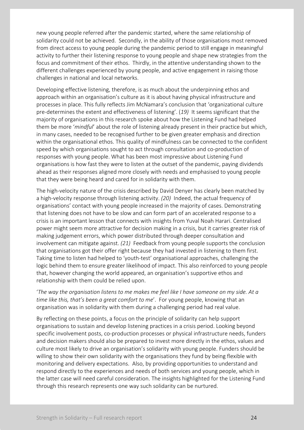new young people referred after the pandemic started, where the same relationship of solidarity could not be achieved. Secondly, in the ability of those organisations most removed from direct access to young people during the pandemic period to still engage in meaningful activity to further their listening response to young people and shape new strategies from the focus and commitment of their ethos. Thirdly, in the attentive understanding shown to the different challenges experienced by young people, and active engagement in raising those challenges in national and local networks.

Developing effective listening, therefore, is as much about the underpinning ethos and approach within an organisation's culture as it is about having physical infrastructure and processes in place. This fully reflects Jim McNamara's conclusion that 'organizational culture pre-determines the extent and effectiveness of listening'. (*19)* It seems significant that the majority of organisations in this research spoke about how the Listening Fund had helped them be more '*mindful*' about the role of listening already present in their practice but which, in many cases, needed to be recognised further to be given greater emphasis and direction within the organisational ethos. This quality of mindfulness can be connected to the confident speed by which organisations sought to act through consultation and co-production of responses with young people. What has been most impressive about Listening Fund organisations is how fast they were to listen at the outset of the pandemic, paying dividends ahead as their responses aligned more closely with needs and emphasised to young people that they were being heard and cared for in solidarity with them.

The high-velocity nature of the crisis described by David Denyer has clearly been matched by a high-velocity response through listening activity. *(20)* Indeed, the actual frequency of organisations' contact with young people increased in the majority of cases. Demonstrating that listening does not have to be slow and can form part of an accelerated response to a crisis is an important lesson that connects with insights from Yuval Noah Harari. Centralised power might seem more attractive for decision making in a crisis, but it carries greater risk of making judgement errors, which power distributed through deeper consultation and involvement can mitigate against. *(21)* Feedback from young people supports the conclusion that organisations got their offer right because they had invested in listening to them first. Taking time to listen had helped to 'youth-test' organisational approaches, challenging the logic behind them to ensure greater likelihood of impact. This also reinforced to young people that, however changing the world appeared, an organisation's supportive ethos and relationship with them could be relied upon.

'*The way the organisation listens to me makes me feel like I have someone on my side. At a time like this, that's been a great comfort to me*'. For young people, knowing that an organisation was in solidarity with them during a challenging period had real value.

By reflecting on these points, a focus on the principle of solidarity can help support organisations to sustain and develop listening practices in a crisis period. Looking beyond specific involvement posts, co-production processes or physical infrastructure needs, funders and decision makers should also be prepared to invest more directly in the ethos, values and culture most likely to drive an organisation's solidarity with young people. Funders should be willing to show their own solidarity with the organisations they fund by being flexible with monitoring and delivery expectations. Also, by providing opportunities to understand and respond directly to the experiences and needs of both services and young people, which in the latter case will need careful consideration. The insights highlighted for the Listening Fund through this research represents one way such solidarity can be nurtured.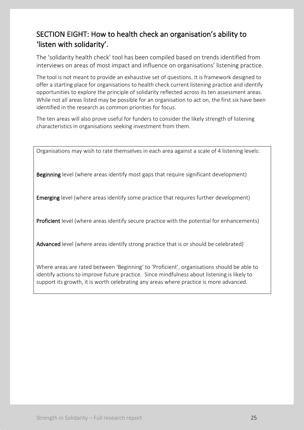# SECTION EIGHT: How to health check an organisation's ability to 'listen with solidarity'.

The 'solidarity health check' tool has been compiled based on trends identified from interviews on areas of most impact and influence on organisations' listening practice.

The tool is not meant to provide an exhaustive set of questions. It is framework designed to offer a starting place for organisations to health check current listening practice and identify opportunities to explore the principle of solidarity reflected across its ten assessment areas. While not all areas listed may be possible for an organisation to act on, the first six have been identified in the research as common priorities for focus.

The ten areas will also prove useful for funders to consider the likely strength of listening characteristics in organisations seeking investment from them.

Organisations may wish to rate themselves in each area against a scale of 4 listening levels:

Beginning level (where areas identify most gaps that require significant development)

Emerging level (where areas identify some practice that requires further development)

Proficient level (where areas identify secure practice with the potential for enhancements)

Advanced level (where areas identify strong practice that is or should be celebrated)

Where areas are rated between 'Beginning' to 'Proficient', organisations should be able to identify actions to improve future practice. Since mindfulness about listening is likely to support its growth, it is worth celebrating any areas where practice is more advanced.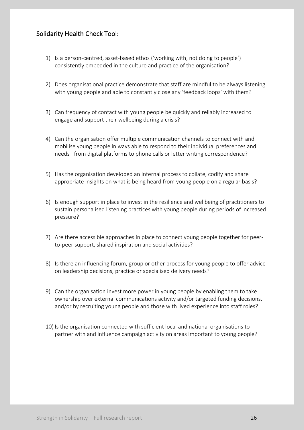### Solidarity Health Check Tool:

- 1) Is a person-centred, asset-based ethos ('working with, not doing to people') consistently embedded in the culture and practice of the organisation?
- 2) Does organisational practice demonstrate that staff are mindful to be always listening with young people and able to constantly close any 'feedback loops' with them?
- 3) Can frequency of contact with young people be quickly and reliably increased to engage and support their wellbeing during a crisis?
- 4) Can the organisation offer multiple communication channels to connect with and mobilise young people in ways able to respond to their individual preferences and needs– from digital platforms to phone calls or letter writing correspondence?
- 5) Has the organisation developed an internal process to collate, codify and share appropriate insights on what is being heard from young people on a regular basis?
- 6) Is enough support in place to invest in the resilience and wellbeing of practitioners to sustain personalised listening practices with young people during periods of increased pressure?
- 7) Are there accessible approaches in place to connect young people together for peerto-peer support, shared inspiration and social activities?
- 8) Is there an influencing forum, group or other process for young people to offer advice on leadership decisions, practice or specialised delivery needs?
- 9) Can the organisation invest more power in young people by enabling them to take ownership over external communications activity and/or targeted funding decisions, and/or by recruiting young people and those with lived experience into staff roles?
- 10) Is the organisation connected with sufficient local and national organisations to partner with and influence campaign activity on areas important to young people?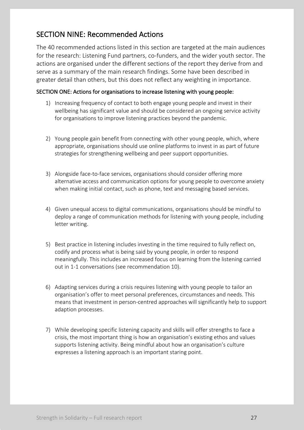# SECTION NINE: Recommended Actions

The 40 recommended actions listed in this section are targeted at the main audiences for the research: Listening Fund partners, co-funders, and the wider youth sector. The actions are organised under the different sections of the report they derive from and serve as a summary of the main research findings. Some have been described in greater detail than others, but this does not reflect any weighting in importance.

### SECTION ONE: Actions for organisations to increase listening with young people:

- 1) Increasing frequency of contact to both engage young people and invest in their wellbeing has significant value and should be considered an ongoing service activity for organisations to improve listening practices beyond the pandemic.
- 2) Young people gain benefit from connecting with other young people, which, where appropriate, organisations should use online platforms to invest in as part of future strategies for strengthening wellbeing and peer support opportunities.
- 3) Alongside face-to-face services, organisations should consider offering more alternative access and communication options for young people to overcome anxiety when making initial contact, such as phone, text and messaging based services.
- 4) Given unequal access to digital communications, organisations should be mindful to deploy a range of communication methods for listening with young people, including letter writing.
- 5) Best practice in listening includes investing in the time required to fully reflect on, codify and process what is being said by young people, in order to respond meaningfully. This includes an increased focus on learning from the listening carried out in 1-1 conversations (see recommendation 10).
- 6) Adapting services during a crisis requires listening with young people to tailor an organisation's offer to meet personal preferences, circumstances and needs. This means that investment in person-centred approaches will significantly help to support adaption processes.
- 7) While developing specific listening capacity and skills will offer strengths to face a crisis, the most important thing is how an organisation's existing ethos and values supports listening activity. Being mindful about how an organisation's culture expresses a listening approach is an important staring point.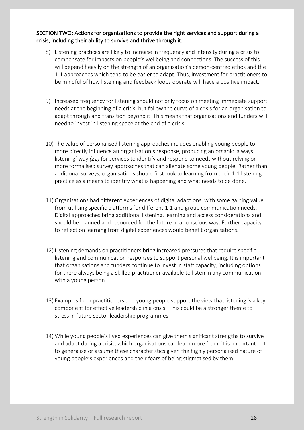### SECTION TWO: Actions for organisations to provide the right services and support during a crisis, including their ability to survive and thrive through it:

- 8) Listening practices are likely to increase in frequency and intensity during a crisis to compensate for impacts on people's wellbeing and connections. The success of this will depend heavily on the strength of an organisation's person-centred ethos and the 1-1 approaches which tend to be easier to adapt. Thus, investment for practitioners to be mindful of how listening and feedback loops operate will have a positive impact.
- 9) Increased frequency for listening should not only focus on meeting immediate support needs at the beginning of a crisis, but follow the curve of a crisis for an organisation to adapt through and transition beyond it. This means that organisations and funders will need to invest in listening space at the end of a crisis.
- 10) The value of personalised listening approaches includes enabling young people to more directly influence an organisation's response, producing an organic 'always listening' way *(22)* for services to identify and respond to needs without relying on more formalised survey approaches that can alienate some young people. Rather than additional surveys, organisations should first look to learning from their 1-1 listening practice as a means to identify what is happening and what needs to be done.
- 11) Organisations had different experiences of digital adaptions, with some gaining value from utilising specific platforms for different 1-1 and group communication needs. Digital approaches bring additional listening, learning and access considerations and should be planned and resourced for the future in a conscious way. Further capacity to reflect on learning from digital experiences would benefit organisations.
- 12) Listening demands on practitioners bring increased pressures that require specific listening and communication responses to support personal wellbeing. It is important that organisations and funders continue to invest in staff capacity, including options for there always being a skilled practitioner available to listen in any communication with a young person.
- 13) Examples from practitioners and young people support the view that listening is a key component for effective leadership in a crisis. This could be a stronger theme to stress in future sector leadership programmes.
- 14) While young people's lived experiences can give them significant strengths to survive and adapt during a crisis, which organisations can learn more from, it is important not to generalise or assume these characteristics given the highly personalised nature of young people's experiences and their fears of being stigmatised by them.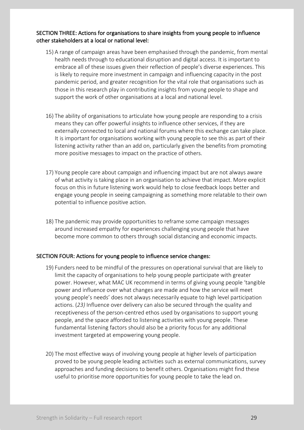### SECTION THREE: Actions for organisations to share insights from young people to influence other stakeholders at a local or national level:

- 15) A range of campaign areas have been emphasised through the pandemic, from mental health needs through to educational disruption and digital access. It is important to embrace all of these issues given their reflection of people's diverse experiences. This is likely to require more investment in campaign and influencing capacity in the post pandemic period, and greater recognition for the vital role that organisations such as those in this research play in contributing insights from young people to shape and support the work of other organisations at a local and national level.
- 16) The ability of organisations to articulate how young people are responding to a crisis means they can offer powerful insights to influence other services, if they are externally connected to local and national forums where this exchange can take place. It is important for organisations working with young people to see this as part of their listening activity rather than an add on, particularly given the benefits from promoting more positive messages to impact on the practice of others.
- 17) Young people care about campaign and influencing impact but are not always aware of what activity is taking place in an organisation to achieve that impact. More explicit focus on this in future listening work would help to close feedback loops better and engage young people in seeing campaigning as something more relatable to their own potential to influence positive action.
- 18) The pandemic may provide opportunities to reframe some campaign messages around increased empathy for experiences challenging young people that have become more common to others through social distancing and economic impacts.

### SECTION FOUR: Actions for young people to influence service changes:

- 19) Funders need to be mindful of the pressures on operational survival that are likely to limit the capacity of organisations to help young people participate with greater power. However, what MAC UK recommend in terms of giving young people 'tangible power and influence over what changes are made and how the service will meet young people's needs' does not always necessarily equate to high level participation actions. (*23)* Influence over delivery can also be secured through the quality and receptiveness of the person-centred ethos used by organisations to support young people, and the space afforded to listening activities with young people. These fundamental listening factors should also be a priority focus for any additional investment targeted at empowering young people.
- 20) The most effective ways of involving young people at higher levels of participation proved to be young people leading activities such as external communications, survey approaches and funding decisions to benefit others. Organisations might find these useful to prioritise more opportunities for young people to take the lead on.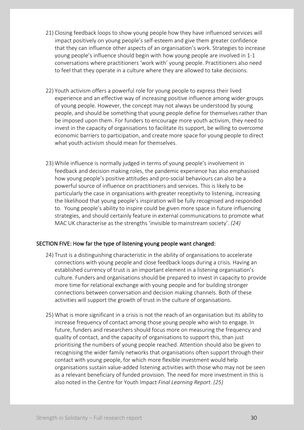- 21) Closing feedback loops to show young people how they have influenced services will impact positively on young people's self-esteem and give them greater confidence that they can influence other aspects of an organisation's work. Strategies to increase young people's influence should begin with how young people are involved in 1-1 conversations where practitioners 'work with' young people. Practitioners also need to feel that they operate in a culture where they are allowed to take decisions.
- 22) Youth activism offers a powerful role for young people to express their lived experience and an effective way of increasing positive influence among wider groups of young people. However, the concept may not always be understood by young people, and should be something that young people define for themselves rather than be imposed upon them. For funders to encourage more youth activism, they need to invest in the capacity of organisations to facilitate its support, be willing to overcome economic barriers to participation, and create more space for young people to direct what youth activism should mean for themselves.
- 23) While influence is normally judged in terms of young people's involvement in feedback and decision making roles, the pandemic experience has also emphasised how young people's positive attitudes and pro-social behaviours can also be a powerful source of influence on practitioners and services. This is likely to be particularly the case in organisations with greater receptivity to listening, increasing the likelihood that young people's inspiration will be fully recognised and responded to. Young people's ability to inspire could be given more space in future influencing strategies, and should certainly feature in external communications to promote what MAC UK characterise as the strengths 'invisible to mainstream society'. *(24)*

### SECTION FIVE: How far the type of listening young people want changed:

- 24) Trust is a distinguishing characteristic in the ability of organisations to accelerate connections with young people and close feedback loops during a crisis. Having an established currency of trust is an important element in a listening organisation's culture. Funders and organisations should be prepared to invest in capacity to provide more time for relational exchange with young people and for building stronger connections between conversation and decision making channels. Both of these activities will support the growth of trust in the culture of organisations.
- 25) What is more significant in a crisis is not the reach of an organisation but its ability to increase frequency of contact among those young people who wish to engage. In future, funders and researchers should focus more on measuring the frequency and quality of contact, and the capacity of organisations to support this, than just prioritising the numbers of young people reached. Attention should also be given to recognising the wider family networks that organisations often support through their contact with young people, for which more flexible investment would help organisations sustain value-added listening activities with those who may not be seen as a relevant beneficiary of funded provision. The need for more investment in this is also noted in the Centre for Youth Impact *Final Learning Report*. *(25)*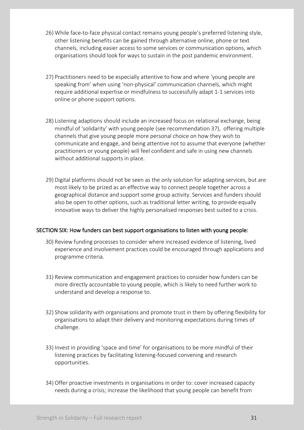- 26) While face-to-face physical contact remains young people's preferred listening style, other listening benefits can be gained through alternative online, phone or text channels, including easier access to some services or communication options, which organisations should look for ways to sustain in the post pandemic environment.
- 27) Practitioners need to be especially attentive to how and where 'young people are speaking from' when using 'non-physical' communication channels, which might require additional expertise or mindfulness to successfully adapt 1-1 services into online or phone support options.
- 28) Listening adaptions should include an increased focus on relational exchange, being mindful of 'solidarity' with young people (see recommendation 37), offering multiple channels that give young people more personal choice on how they wish to communicate and engage, and being attentive not to assume that everyone (whether practitioners or young people) will feel confident and safe in using new channels without additional supports in place.
- 29) Digital platforms should not be seen as the only solution for adapting services, but are most likely to be prized as an effective way to connect people together across a geographical distance and support some group activity. Services and funders should also be open to other options, such as traditional letter writing, to provide equally innovative ways to deliver the highly personalised responses best suited to a crisis.

### SECTION SIX: How funders can best support organisations to listen with young people:

- 30) Review funding processes to consider where increased evidence of listening, lived experience and involvement practices could be encouraged through applications and programme criteria.
- 31) Review communication and engagement practices to consider how funders can be more directly accountable to young people, which is likely to need further work to understand and develop a response to.
- 32) Show solidarity with organisations and promote trust in them by offering flexibility for organisations to adapt their delivery and monitoring expectations during times of challenge.
- 33) Invest in providing 'space and time' for organisations to be more mindful of their listening practices by facilitating listening-focused convening and research opportunities.
- 34) Offer proactive investments in organisations in order to: cover increased capacity needs during a crisis; increase the likelihood that young people can benefit from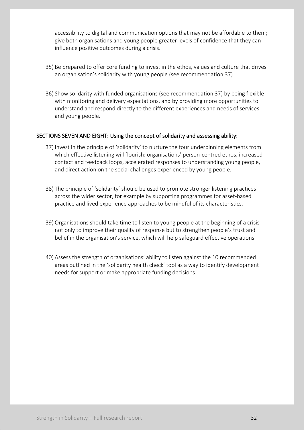accessibility to digital and communication options that may not be affordable to them; give both organisations and young people greater levels of confidence that they can influence positive outcomes during a crisis.

- 35) Be prepared to offer core funding to invest in the ethos, values and culture that drives an organisation's solidarity with young people (see recommendation 37).
- 36) Show solidarity with funded organisations (see recommendation 37) by being flexible with monitoring and delivery expectations, and by providing more opportunities to understand and respond directly to the different experiences and needs of services and young people.

### SECTIONS SEVEN AND EIGHT: Using the concept of solidarity and assessing ability:

- 37) Invest in the principle of 'solidarity' to nurture the four underpinning elements from which effective listening will flourish: organisations' person-centred ethos, increased contact and feedback loops, accelerated responses to understanding young people, and direct action on the social challenges experienced by young people.
- 38) The principle of 'solidarity' should be used to promote stronger listening practices across the wider sector, for example by supporting programmes for asset-based practice and lived experience approaches to be mindful of its characteristics.
- 39) Organisations should take time to listen to young people at the beginning of a crisis not only to improve their quality of response but to strengthen people's trust and belief in the organisation's service, which will help safeguard effective operations.
- 40) Assess the strength of organisations' ability to listen against the 10 recommended areas outlined in the 'solidarity health check' tool as a way to identify development needs for support or make appropriate funding decisions.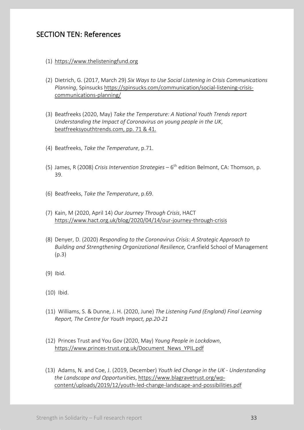## SECTION TEN: References

- (1) https://www.thelisteningfund.org
- (2) Dietrich, G. (2017, March 29) *Six Ways to Use Social Listening in Crisis Communications Planning*, Spinsucks https://spinsucks.com/communication/social-listening-crisiscommunications-planning/
- (3) Beatfreeks (2020, May) *Take the Temperature: A National Youth Trends report Understanding the Impact of Coronavirus on young people in the UK*, beatfreeksyouthtrends.com, pp. 71 & 41.
- (4) Beatfreeks, *Take the Temperature*, p.71.
- (5) James, R (2008) *Crisis Intervention Strategies* 6th edition Belmont, CA: Thomson, p. 39.
- (6) Beatfreeks, *Take the Temperature*, p.69.
- (7) Kain, M (2020, April 14) *Our Journey Through Crisis*, HACT https://www.hact.org.uk/blog/2020/04/14/our-journey-through-crisis
- (8) Denyer, D. (2020) *Responding to the Coronavirus Crisis: A Strategic Approach to Building and Strengthening Organizational Resilience,* Cranfield School of Management (p.3)
- (9) Ibid.
- (10) Ibid.
- (11) Williams, S. & Dunne, J. H. (2020, June) *The Listening Fund (England) Final Learning Report, The Centre for Youth Impact, pp.20-21*
- (12) Princes Trust and You Gov (2020, May) *Young People in Lockdown*, https://www.princes-trust.org.uk/Document\_News\_YPIL.pdf
- (13) Adams, N. and Coe, J. (2019, December) *Youth led Change in the UK - Understanding the Landscape and Opportunities*, https://www.blagravetrust.org/wpcontent/uploads/2019/12/youth-led-change-landscape-and-possibilities.pdf